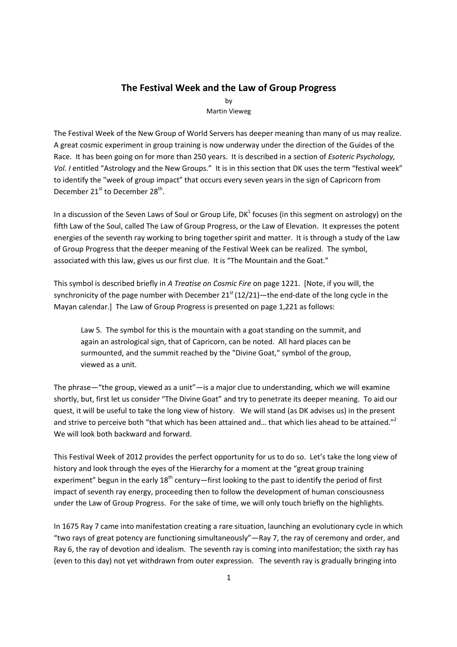## **The Festival Week and the Law of Group Progress**

by Martin Vieweg

The Festival Week of the New Group of World Servers has deeper meaning than many of us may realize. A great cosmic experiment in group training is now underway under the direction of the Guides of the Race. It has been going on for more than 250 years. It is described in a section of *Esoteric Psychology, Vol. I* entitled "Astrology and the New Groups." It is in this section that DK uses the term "festival week" to identify the "week of group impact" that occurs every seven years in the sign of Capricorn from December 21<sup>st</sup> to December 28<sup>th</sup>.

In a discussion of the Seven Laws of Soul or Group Life, DK $^1$  focuses (in this segment on astrology) on the fifth Law of the Soul, called The Law of Group Progress, or the Law of Elevation. It expresses the potent energies of the seventh ray working to bring together spirit and matter. It is through a study of the Law of Group Progress that the deeper meaning of the Festival Week can be realized. The symbol, associated with this law, gives us our first clue. It is "The Mountain and the Goat."

This symbol is described briefly in *A Treatise on Cosmic Fire* on page 1221. [Note, if you will, the synchronicity of the page number with December  $21<sup>st</sup> (12/21)$ —the end-date of the long cycle in the Mayan calendar.] The Law of Group Progress is presented on page 1,221 as follows:

Law 5. The symbol for this is the mountain with a goat standing on the summit, and again an astrological sign, that of Capricorn, can be noted. All hard places can be surmounted, and the summit reached by the "Divine Goat," symbol of the group, viewed as a unit.

The phrase—"the group, viewed as a unit"—is a major clue to understanding, which we will examine shortly, but, first let us consider "The Divine Goat" and try to penetrate its deeper meaning. To aid our quest, it will be useful to take the long view of history. We will stand (as DK advises us) in the present and strive to perceive both "that which has been attained and... that which lies ahead to be attained."<sup>2</sup> We will look both backward and forward.

This Festival Week of 2012 provides the perfect opportunity for us to do so. Let's take the long view of history and look through the eyes of the Hierarchy for a moment at the "great group training experiment" begun in the early  $18<sup>th</sup>$  century—first looking to the past to identify the period of first impact of seventh ray energy, proceeding then to follow the development of human consciousness under the Law of Group Progress. For the sake of time, we will only touch briefly on the highlights.

In 1675 Ray 7 came into manifestation creating a rare situation, launching an evolutionary cycle in which "two rays of great potency are functioning simultaneously"—Ray 7, the ray of ceremony and order, and Ray 6, the ray of devotion and idealism. The seventh ray is coming into manifestation; the sixth ray has (even to this day) not yet withdrawn from outer expression. The seventh ray is gradually bringing into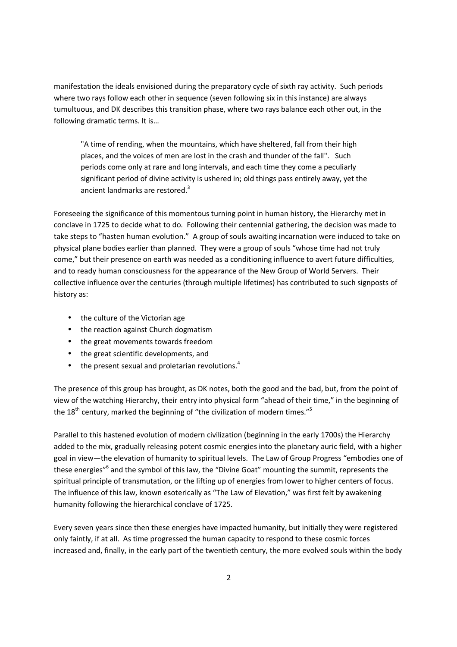manifestation the ideals envisioned during the preparatory cycle of sixth ray activity. Such periods where two rays follow each other in sequence (seven following six in this instance) are always tumultuous, and DK describes this transition phase, where two rays balance each other out, in the following dramatic terms. It is…

"A time of rending, when the mountains, which have sheltered, fall from their high places, and the voices of men are lost in the crash and thunder of the fall". Such periods come only at rare and long intervals, and each time they come a peculiarly significant period of divine activity is ushered in; old things pass entirely away, yet the ancient landmarks are restored.<sup>3</sup>

Foreseeing the significance of this momentous turning point in human history, the Hierarchy met in conclave in 1725 to decide what to do. Following their centennial gathering, the decision was made to take steps to "hasten human evolution." A group of souls awaiting incarnation were induced to take on physical plane bodies earlier than planned. They were a group of souls "whose time had not truly come," but their presence on earth was needed as a conditioning influence to avert future difficulties, and to ready human consciousness for the appearance of the New Group of World Servers. Their collective influence over the centuries (through multiple lifetimes) has contributed to such signposts of history as:

- the culture of the Victorian age
- the reaction against Church dogmatism
- the great movements towards freedom
- the great scientific developments, and
- $\bullet$  the present sexual and proletarian revolutions.<sup>4</sup>

The presence of this group has brought, as DK notes, both the good and the bad, but, from the point of view of the watching Hierarchy, their entry into physical form "ahead of their time," in the beginning of the  $18<sup>th</sup>$  century, marked the beginning of "the civilization of modern times."<sup>5</sup>

Parallel to this hastened evolution of modern civilization (beginning in the early 1700s) the Hierarchy added to the mix, gradually releasing potent cosmic energies into the planetary auric field, with a higher goal in view—the elevation of humanity to spiritual levels. The Law of Group Progress "embodies one of these energies"<sup>6</sup> and the symbol of this law, the "Divine Goat" mounting the summit, represents the spiritual principle of transmutation, or the lifting up of energies from lower to higher centers of focus. The influence of this law, known esoterically as "The Law of Elevation," was first felt by awakening humanity following the hierarchical conclave of 1725.

Every seven years since then these energies have impacted humanity, but initially they were registered only faintly, if at all. As time progressed the human capacity to respond to these cosmic forces increased and, finally, in the early part of the twentieth century, the more evolved souls within the body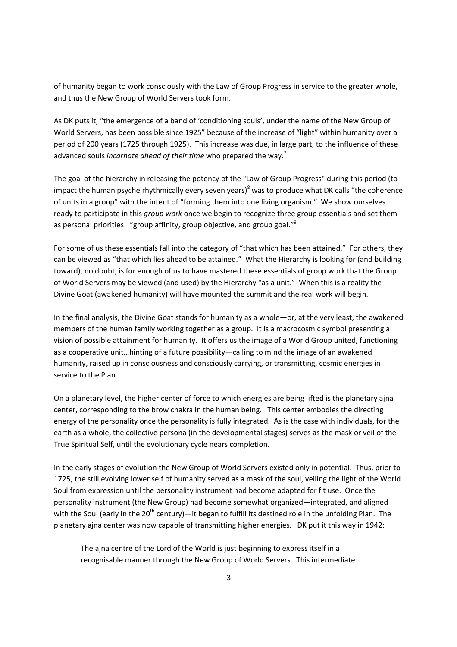of humanity began to work consciously with the Law of Group Progress in service to the greater whole, and thus the New Group of World Servers took form.

As DK puts it, "the emergence of a band of 'conditioning souls', under the name of the New Group of World Servers, has been possible since 1925" because of the increase of "light" within humanity over a period of 200 years (1725 through 1925). This increase was due, in large part, to the influence of these advanced souls *incarnate ahead of their time* who prepared the way.<sup>7</sup>

The goal of the hierarchy in releasing the potency of the "Law of Group Progress" during this period (to impact the human psyche rhythmically every seven years)<sup>8</sup> was to produce what DK calls "the coherence of units in a group" with the intent of "forming them into one living organism." We show ourselves ready to participate in this *group work* once we begin to recognize three group essentials and set them as personal priorities: "group affinity, group objective, and group goal."<sup>9</sup>

For some of us these essentials fall into the category of "that which has been attained." For others, they can be viewed as "that which lies ahead to be attained." What the Hierarchy is looking for (and building toward), no doubt, is for enough of us to have mastered these essentials of group work that the Group of World Servers may be viewed (and used) by the Hierarchy "as a unit." When this is a reality the Divine Goat (awakened humanity) will have mounted the summit and the real work will begin.

In the final analysis, the Divine Goat stands for humanity as a whole—or, at the very least, the awakened members of the human family working together as a group. It is a macrocosmic symbol presenting a vision of possible attainment for humanity. It offers us the image of a World Group united, functioning as a cooperative unit…hinting of a future possibility—calling to mind the image of an awakened humanity, raised up in consciousness and consciously carrying, or transmitting, cosmic energies in service to the Plan.

On a planetary level, the higher center of force to which energies are being lifted is the planetary ajna center, corresponding to the brow chakra in the human being. This center embodies the directing energy of the personality once the personality is fully integrated. As is the case with individuals, for the earth as a whole, the collective persona (in the developmental stages) serves as the mask or veil of the True Spiritual Self, until the evolutionary cycle nears completion.

In the early stages of evolution the New Group of World Servers existed only in potential. Thus, prior to 1725, the still evolving lower self of humanity served as a mask of the soul, veiling the light of the World Soul from expression until the personality instrument had become adapted for fit use. Once the personality instrument (the New Group) had become somewhat organized—integrated, and aligned with the Soul (early in the 20<sup>th</sup> century)—it began to fulfill its destined role in the unfolding Plan. The planetary ajna center was now capable of transmitting higher energies. DK put it this way in 1942:

The ajna centre of the Lord of the World is just beginning to express itself in a recognisable manner through the New Group of World Servers. This intermediate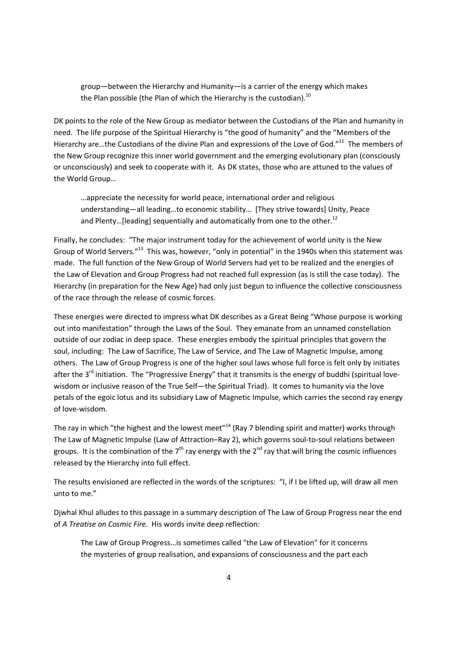group—between the Hierarchy and Humanity—is a carrier of the energy which makes the Plan possible (the Plan of which the Hierarchy is the custodian).<sup>10</sup>

DK points to the role of the New Group as mediator between the Custodians of the Plan and humanity in need. The life purpose of the Spiritual Hierarchy is "the good of humanity" and the "Members of the Hierarchy are...the Custodians of the divine Plan and expressions of the Love of God."<sup>11</sup> The members of the New Group recognize this inner world government and the emerging evolutionary plan (consciously or unconsciously) and seek to cooperate with it. As DK states, those who are attuned to the values of the World Group…

…appreciate the necessity for world peace, international order and religious understanding—all leading…to economic stability… [They strive towards] Unity, Peace and Plenty...[leading] sequentially and automatically from one to the other.<sup>12</sup>

Finally, he concludes: "The major instrument today for the achievement of world unity is the New Group of World Servers."<sup>13</sup> This was, however, "only in potential" in the 1940s when this statement was made. The full function of the New Group of World Servers had yet to be realized and the energies of the Law of Elevation and Group Progress had not reached full expression (as is still the case today). The Hierarchy (in preparation for the New Age) had only just begun to influence the collective consciousness of the race through the release of cosmic forces.

These energies were directed to impress what DK describes as a Great Being "Whose purpose is working out into manifestation" through the Laws of the Soul. They emanate from an unnamed constellation outside of our zodiac in deep space. These energies embody the spiritual principles that govern the soul, including: The Law of Sacrifice, The Law of Service, and The Law of Magnetic Impulse, among others. The Law of Group Progress is one of the higher soul laws whose full force is felt only by initiates after the  $3<sup>rd</sup>$  initiation. The "Progressive Energy" that it transmits is the energy of buddhi (spiritual lovewisdom or inclusive reason of the True Self—the Spiritual Triad). It comes to humanity via the love petals of the egoic lotus and its subsidiary Law of Magnetic Impulse, which carries the second ray energy of love-wisdom.

The ray in which "the highest and the lowest meet"<sup>14</sup> (Ray 7 blending spirit and matter) works through The Law of Magnetic Impulse (Law of Attraction–Ray 2), which governs soul-to-soul relations between groups. It is the combination of the  $7<sup>th</sup>$  ray energy with the  $2<sup>nd</sup>$  ray that will bring the cosmic influences released by the Hierarchy into full effect.

The results envisioned are reflected in the words of the scriptures: "I, if I be lifted up, will draw all men unto to me."

Djwhal Khul alludes to this passage in a summary description of The Law of Group Progress near the end of *A Treatise on Cosmic Fire.* His words invite deep reflection*:* 

The Law of Group Progress…is sometimes called "the Law of Elevation" for it concerns the mysteries of group realisation, and expansions of consciousness and the part each